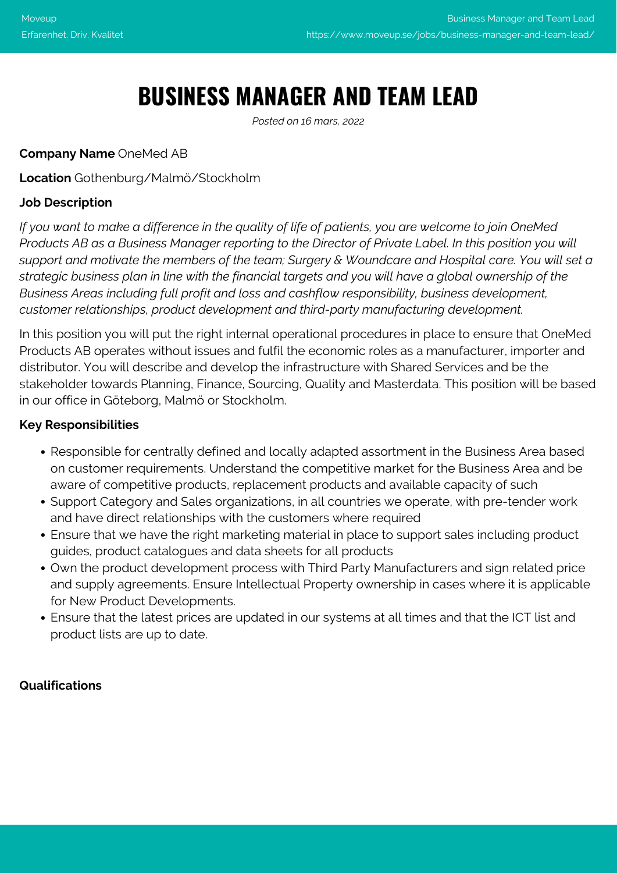# **BUSINESS MANAGER AND TEAM LEAD**

*Posted on 16 mars, 2022*

#### **Company Name** OneMed AB

#### **Location** Gothenburg/Malmö/Stockholm

#### **Job Description**

*If you want to make a difference in the quality of life of patients, you are welcome to join OneMed Products AB as a Business Manager reporting to the Director of Private Label. In this position you will support and motivate the members of the team; Surgery & Woundcare and Hospital care. You will set a strategic business plan in line with the financial targets and you will have a global ownership of the Business Areas including full profit and loss and cashflow responsibility, business development, customer relationships, product development and third-party manufacturing development.*

In this position you will put the right internal operational procedures in place to ensure that OneMed Products AB operates without issues and fulfil the economic roles as a manufacturer, importer and distributor. You will describe and develop the infrastructure with Shared Services and be the stakeholder towards Planning, Finance, Sourcing, Quality and Masterdata. This position will be based in our office in Göteborg, Malmö or Stockholm.

#### **Key Responsibilities**

- Responsible for centrally defined and locally adapted assortment in the Business Area based on customer requirements. Understand the competitive market for the Business Area and be aware of competitive products, replacement products and available capacity of such
- Support Category and Sales organizations, in all countries we operate, with pre-tender work and have direct relationships with the customers where required
- Ensure that we have the right marketing material in place to support sales including product guides, product catalogues and data sheets for all products
- Own the product development process with Third Party Manufacturers and sign related price and supply agreements. Ensure Intellectual Property ownership in cases where it is applicable for New Product Developments.
- Ensure that the latest prices are updated in our systems at all times and that the ICT list and product lists are up to date.

#### **Qualifications**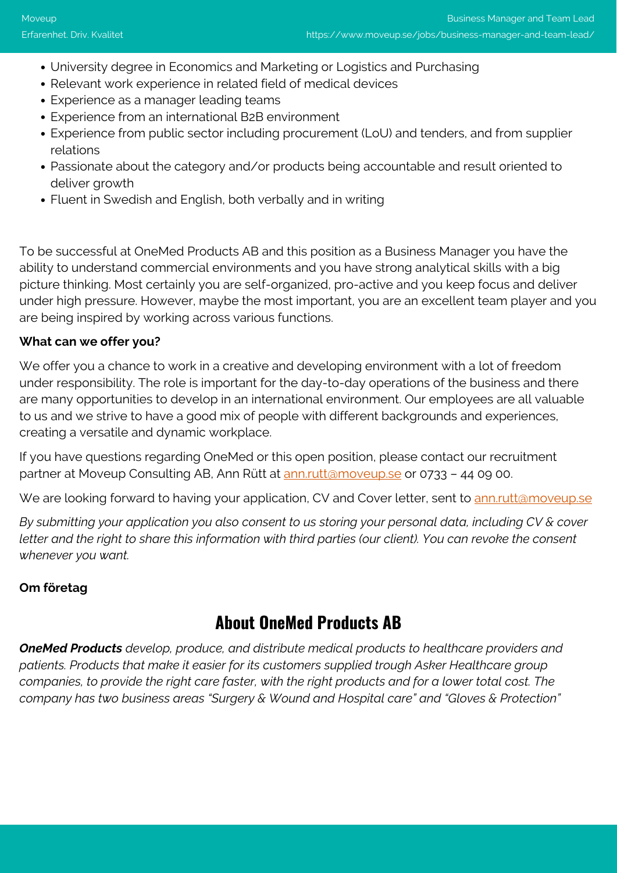- University degree in Economics and Marketing or Logistics and Purchasing
- Relevant work experience in related field of medical devices
- Experience as a manager leading teams
- Experience from an international B2B environment
- Experience from public sector including procurement (LoU) and tenders, and from supplier relations
- Passionate about the category and/or products being accountable and result oriented to deliver growth
- Fluent in Swedish and English, both verbally and in writing

To be successful at OneMed Products AB and this position as a Business Manager you have the ability to understand commercial environments and you have strong analytical skills with a big picture thinking. Most certainly you are self-organized, pro-active and you keep focus and deliver under high pressure. However, maybe the most important, you are an excellent team player and you are being inspired by working across various functions.

#### **What can we offer you?**

We offer you a chance to work in a creative and developing environment with a lot of freedom under responsibility. The role is important for the day-to-day operations of the business and there are many opportunities to develop in an international environment. Our employees are all valuable to us and we strive to have a good mix of people with different backgrounds and experiences, creating a versatile and dynamic workplace.

If you have questions regarding OneMed or this open position, please contact our recruitment partner at Moveup Consulting AB, Ann Rütt at [ann.rutt@moveup.se](mailto:ann.rutt@moveup.se) or 0733 - 44 09 00.

We are looking forward to having your application, CV and Cover letter, sent to [ann.rutt@moveup.se](mailto:ann.rutt@moveup.se)

*By submitting your application you also consent to us storing your personal data, including CV & cover letter and the right to share this information with third parties (our client). You can revoke the consent whenever you want.*

#### **Om företag**

### **About OneMed Products AB**

*OneMed Products develop, produce, and distribute medical products to healthcare providers and patients. Products that make it easier for its customers supplied trough Asker Healthcare group companies, to provide the right care faster, with the right products and for a lower total cost. The company has two business areas "Surgery & Wound and Hospital care" and "Gloves & Protection"*